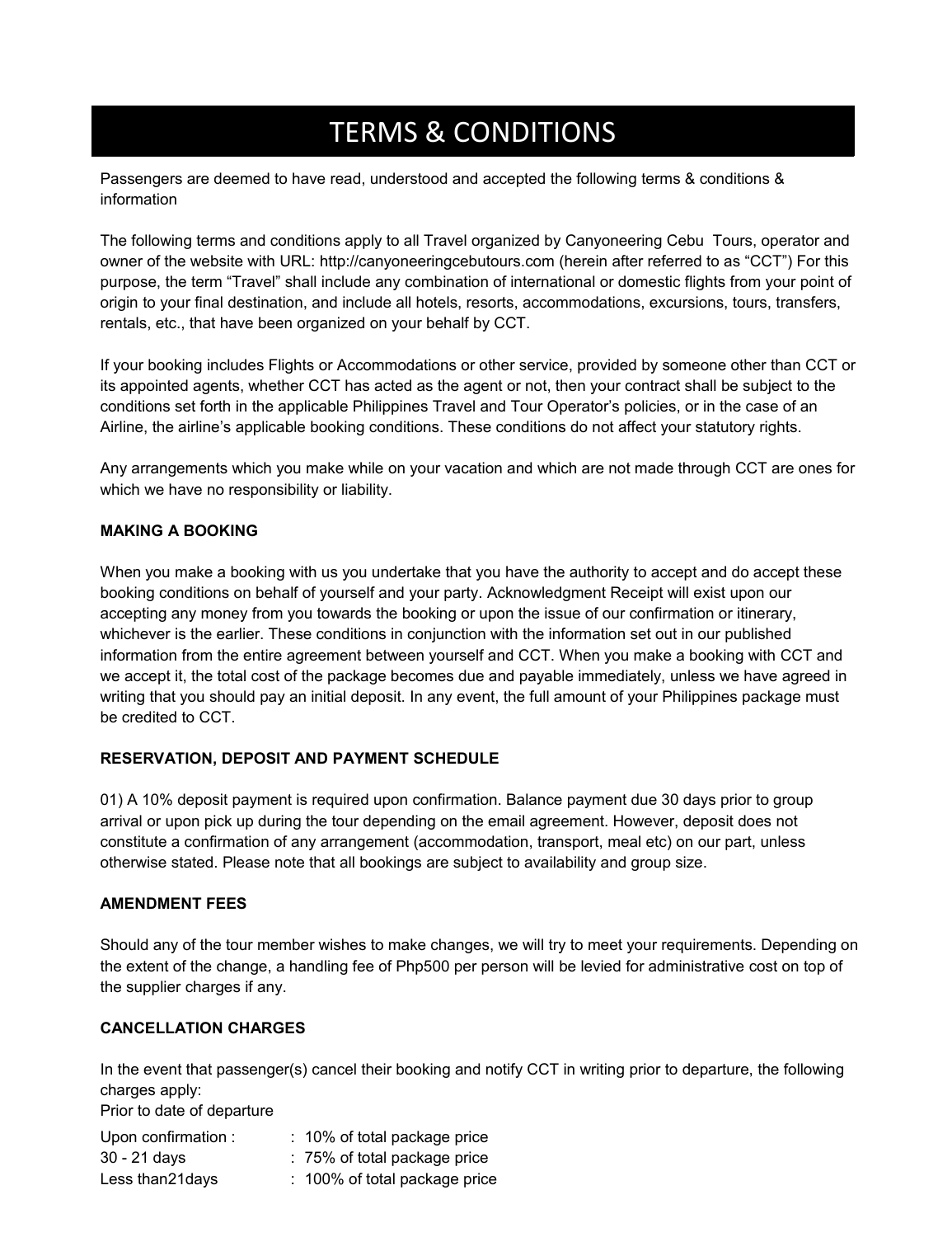# **CBTT TERMS & CONDITION** TERMS & CONDITIONS

Passengers are deemed to have read, understood and accepted the following terms & conditions & information

The following terms and conditions apply to all Travel organized by Canyoneering Cebu Tours, operator and owner of the website with URL: http://canyoneeringcebutours.com (herein after referred to as "CCT") For this purpose, the term "Travel" shall include any combination of international or domestic flights from your point of origin to your final destination, and include all hotels, resorts, accommodations, excursions, tours, transfers, rentals, etc., that have been organized on your behalf by CCT.

If your booking includes Flights or Accommodations or other service, provided by someone other than CCT or its appointed agents, whether CCT has acted as the agent or not, then your contract shall be subject to the conditions set forth in the applicable Philippines Travel and Tour Operator's policies, or in the case of an Airline, the airline's applicable booking conditions. These conditions do not affect your statutory rights.

Any arrangements which you make while on your vacation and which are not made through CCT are ones for which we have no responsibility or liability.

# **MAKING A BOOKING**

When you make a booking with us you undertake that you have the authority to accept and do accept these booking conditions on behalf of yourself and your party. Acknowledgment Receipt will exist upon our accepting any money from you towards the booking or upon the issue of our confirmation or itinerary, whichever is the earlier. These conditions in conjunction with the information set out in our published information from the entire agreement between yourself and CCT. When you make a booking with CCT and we accept it, the total cost of the package becomes due and payable immediately, unless we have agreed in writing that you should pay an initial deposit. In any event, the full amount of your Philippines package must be credited to CCT.

# **RESERVATION, DEPOSIT AND PAYMENT SCHEDULE**

01) A 10% deposit payment is required upon confirmation. Balance payment due 30 days prior to group arrival or upon pick up during the tour depending on the email agreement. However, deposit does not constitute a confirmation of any arrangement (accommodation, transport, meal etc) on our part, unless otherwise stated. Please note that all bookings are subject to availability and group size.

#### **AMENDMENT FEES**

Should any of the tour member wishes to make changes, we will try to meet your requirements. Depending on the extent of the change, a handling fee of Php500 per person will be levied for administrative cost on top of the supplier charges if any.

# **CANCELLATION CHARGES**

In the event that passenger(s) cancel their booking and notify CCT in writing prior to departure, the following charges apply:

Prior to date of departure

| Upon confirmation : | : 10% of total package price  |
|---------------------|-------------------------------|
| 30 - 21 days        | : 75% of total package price  |
| Less than 21 days   | : 100% of total package price |